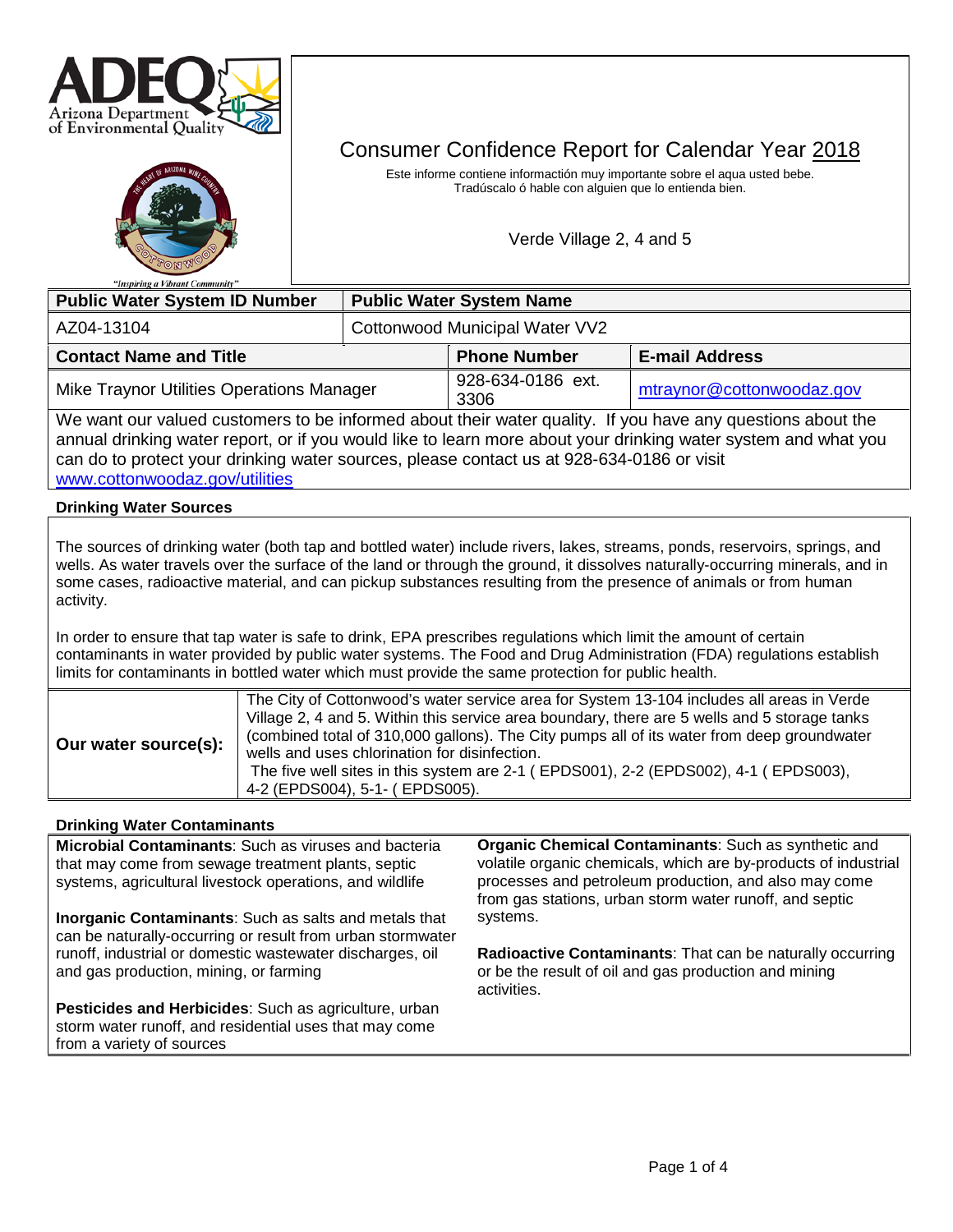



# Consumer Confidence Report for Calendar Year 2018

Este informe contiene informactión muy importante sobre el aqua usted bebe. Tradúscalo ó hable con alguien que lo entienda bien.

Verde Village 2, 4 and 5

| <b>Public Water System ID Number</b>                                                                                                                                                                                         |                                | <b>Public Water System Name</b> |                           |  |  |
|------------------------------------------------------------------------------------------------------------------------------------------------------------------------------------------------------------------------------|--------------------------------|---------------------------------|---------------------------|--|--|
| AZ04-13104                                                                                                                                                                                                                   | Cottonwood Municipal Water VV2 |                                 |                           |  |  |
| <b>Contact Name and Title</b>                                                                                                                                                                                                |                                | <b>Phone Number</b>             | <b>E-mail Address</b>     |  |  |
| Mike Traynor Utilities Operations Manager                                                                                                                                                                                    |                                | 928-634-0186 ext.<br>3306       | mtraynor@cottonwoodaz.gov |  |  |
| We want our valued customers to be informed about their water quality. If you have any questions about the<br>annual drinking water report, or if you would like to learn more about your drinking water system and what you |                                |                                 |                           |  |  |

can do to protect your drinking water sources, please contact us at 928-634-0186 or visit [www.cottonwoodaz.gov/utilities](http://www.cottonwoodaz.gov/utilities) 

#### **Drinking Water Sources**

The sources of drinking water (both tap and bottled water) include rivers, lakes, streams, ponds, reservoirs, springs, and wells. As water travels over the surface of the land or through the ground, it dissolves naturally-occurring minerals, and in some cases, radioactive material, and can pickup substances resulting from the presence of animals or from human activity.

In order to ensure that tap water is safe to drink, EPA prescribes regulations which limit the amount of certain contaminants in water provided by public water systems. The Food and Drug Administration (FDA) regulations establish limits for contaminants in bottled water which must provide the same protection for public health.

|  | Our water source(s): | The City of Cottonwood's water service area for System 13-104 includes all areas in Verde<br>Village 2, 4 and 5. Within this service area boundary, there are 5 wells and 5 storage tanks<br>(combined total of 310,000 gallons). The City pumps all of its water from deep groundwater<br>wells and uses chlorination for disinfection.<br>The five well sites in this system are 2-1 (EPDS001), 2-2 (EPDS002), 4-1 (EPDS003),<br>4-2 (EPDS004), 5-1- (EPDS005). |
|--|----------------------|-------------------------------------------------------------------------------------------------------------------------------------------------------------------------------------------------------------------------------------------------------------------------------------------------------------------------------------------------------------------------------------------------------------------------------------------------------------------|
|--|----------------------|-------------------------------------------------------------------------------------------------------------------------------------------------------------------------------------------------------------------------------------------------------------------------------------------------------------------------------------------------------------------------------------------------------------------------------------------------------------------|

#### **Drinking Water Contaminants**

**Microbial Contaminants**: Such as viruses and bacteria that may come from sewage treatment plants, septic systems, agricultural livestock operations, and wildlife **Inorganic Contaminants**: Such as salts and metals that can be naturally-occurring or result from urban stormwater runoff, industrial or domestic wastewater discharges, oil and gas production, mining, or farming **Pesticides and Herbicides**: Such as agriculture, urban storm water runoff, and residential uses that may come from a variety of sources **Organic Chemical Contaminants**: Such as synthetic and volatile organic chemicals, which are by-products of industrial processes and petroleum production, and also may come from gas stations, urban storm water runoff, and septic systems. **Radioactive Contaminants**: That can be naturally occurring or be the result of oil and gas production and mining activities.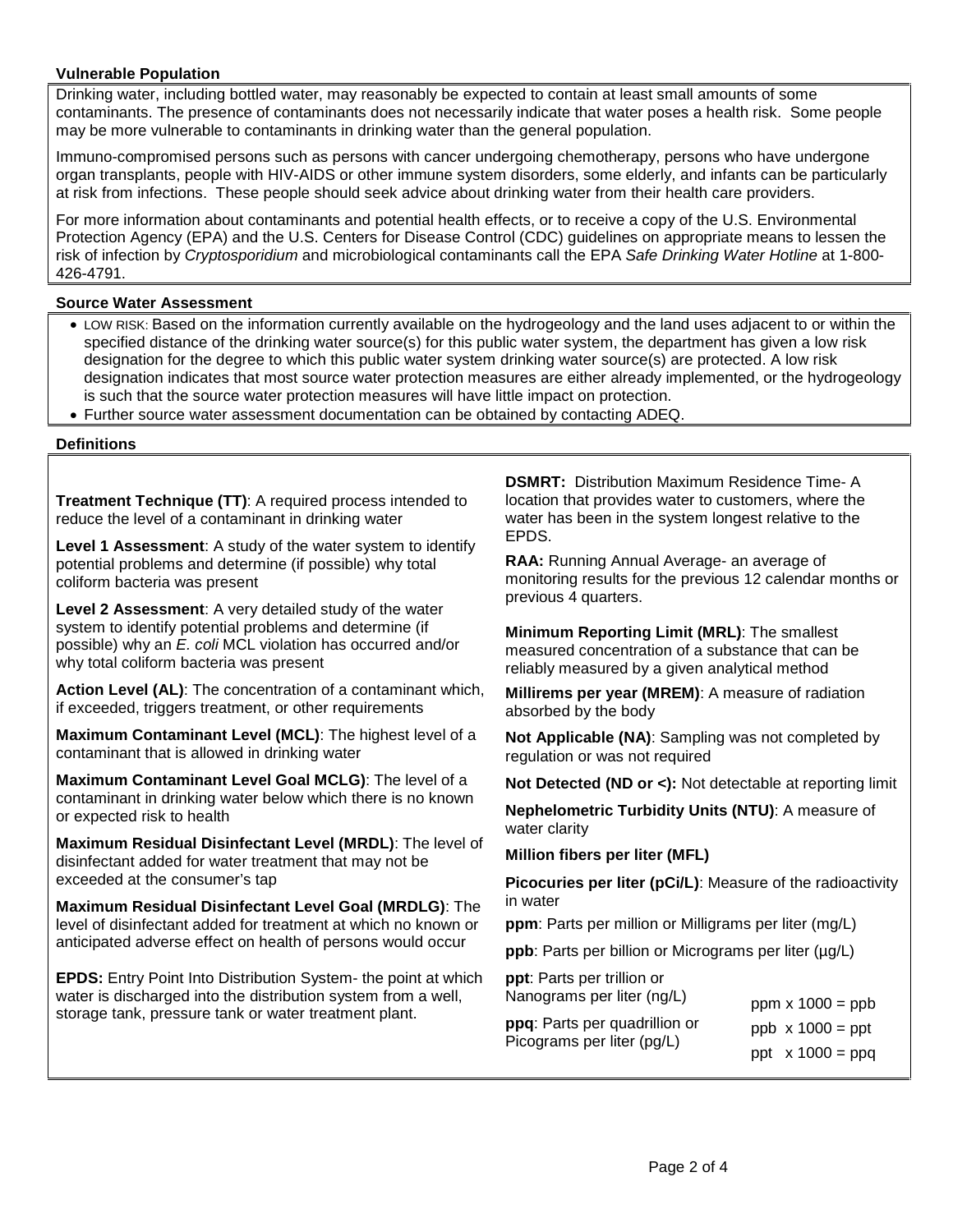#### **Vulnerable Population**

Drinking water, including bottled water, may reasonably be expected to contain at least small amounts of some contaminants. The presence of contaminants does not necessarily indicate that water poses a health risk. Some people may be more vulnerable to contaminants in drinking water than the general population.

Immuno-compromised persons such as persons with cancer undergoing chemotherapy, persons who have undergone organ transplants, people with HIV-AIDS or other immune system disorders, some elderly, and infants can be particularly at risk from infections. These people should seek advice about drinking water from their health care providers.

For more information about contaminants and potential health effects, or to receive a copy of the U.S. Environmental Protection Agency (EPA) and the U.S. Centers for Disease Control (CDC) guidelines on appropriate means to lessen the risk of infection by *Cryptosporidium* and microbiological contaminants call the EPA *Safe Drinking Water Hotline* at 1-800- 426-4791.

#### **Source Water Assessment**

- LOW RISK: Based on the information currently available on the hydrogeology and the land uses adjacent to or within the specified distance of the drinking water source(s) for this public water system, the department has given a low risk designation for the degree to which this public water system drinking water source(s) are protected. A low risk designation indicates that most source water protection measures are either already implemented, or the hydrogeology is such that the source water protection measures will have little impact on protection.
- Further source water assessment documentation can be obtained by contacting ADEQ.

#### **Definitions**

**Treatment Technique (TT)**: A required process intended to reduce the level of a contaminant in drinking water

**Level 1 Assessment**: A study of the water system to identify potential problems and determine (if possible) why total coliform bacteria was present

**Level 2 Assessment**: A very detailed study of the water system to identify potential problems and determine (if possible) why an *E. coli* MCL violation has occurred and/or why total coliform bacteria was present

**Action Level (AL)**: The concentration of a contaminant which, if exceeded, triggers treatment, or other requirements

**Maximum Contaminant Level (MCL)**: The highest level of a contaminant that is allowed in drinking water

**Maximum Contaminant Level Goal MCLG)**: The level of a contaminant in drinking water below which there is no known or expected risk to health

**Maximum Residual Disinfectant Level (MRDL)**: The level of disinfectant added for water treatment that may not be exceeded at the consumer's tap

**Maximum Residual Disinfectant Level Goal (MRDLG)**: The level of disinfectant added for treatment at which no known or anticipated adverse effect on health of persons would occur

**EPDS:** Entry Point Into Distribution System- the point at which water is discharged into the distribution system from a well, storage tank, pressure tank or water treatment plant.

**DSMRT:** Distribution Maximum Residence Time- A location that provides water to customers, where the water has been in the system longest relative to the EPDS.

**RAA:** Running Annual Average- an average of monitoring results for the previous 12 calendar months or previous 4 quarters.

**Minimum Reporting Limit (MRL)**: The smallest measured concentration of a substance that can be reliably measured by a given analytical method

**Millirems per year (MREM)**: A measure of radiation absorbed by the body

**Not Applicable (NA)**: Sampling was not completed by regulation or was not required

**Not Detected (ND or <):** Not detectable at reporting limit

**Nephelometric Turbidity Units (NTU)**: A measure of water clarity

**Million fibers per liter (MFL)**

**Picocuries per liter (pCi/L)**: Measure of the radioactivity in water

**ppm**: Parts per million or Milligrams per liter (mg/L)

**ppb**: Parts per billion or Micrograms per liter (µg/L)

**ppt**: Parts per trillion or Nanograms per liter (ng/L)

| ן ויסווטעומוווס טכו וונכו נווער בן | ppm $\times$ 1000 = ppb |
|------------------------------------|-------------------------|
| ppq: Parts per quadrillion or      | $ppb \times 1000 = ppt$ |
| Picograms per liter (pg/L)         | ppt $\times$ 1000 = ppg |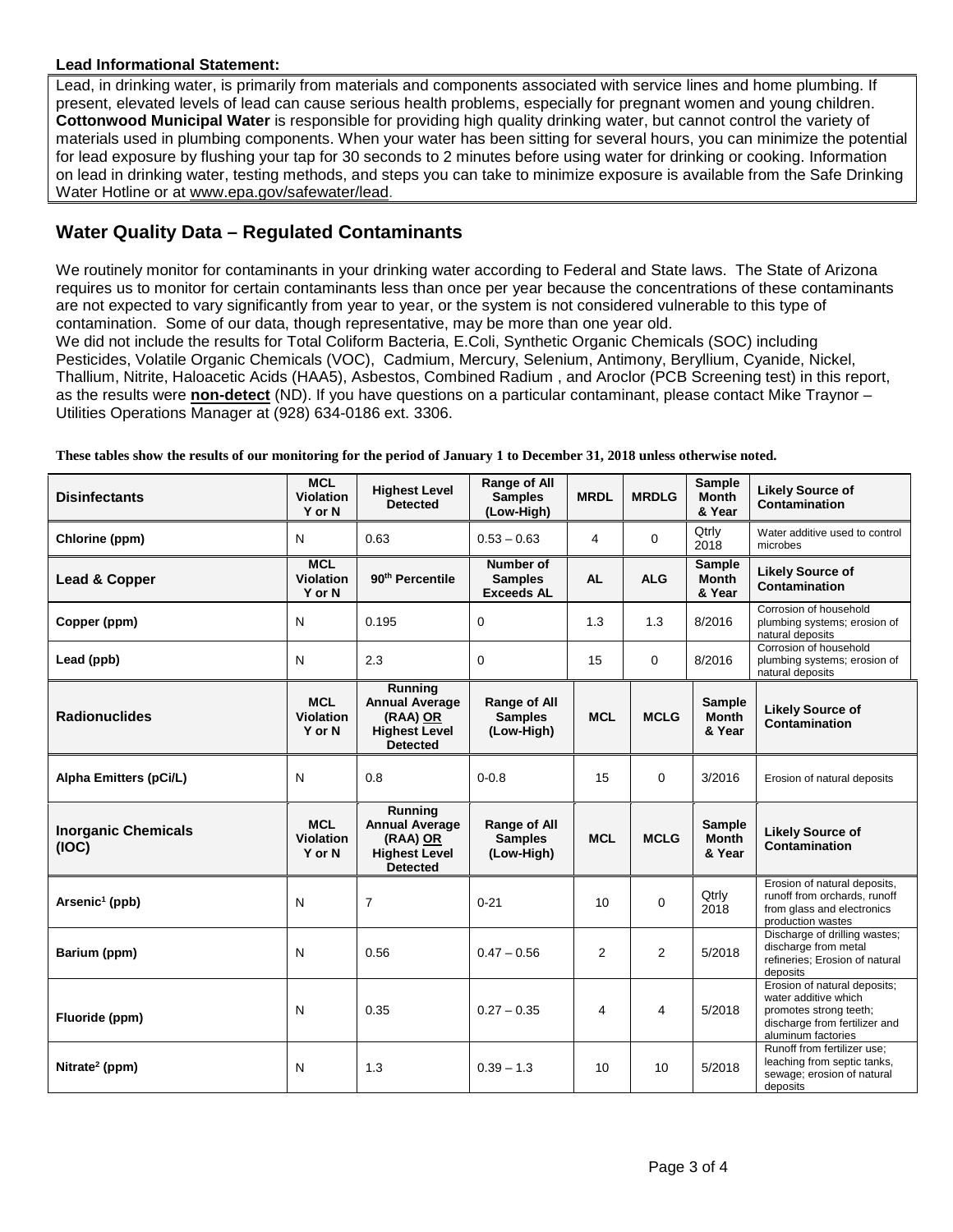#### **Lead Informational Statement:**

Lead, in drinking water, is primarily from materials and components associated with service lines and home plumbing. If present, elevated levels of lead can cause serious health problems, especially for pregnant women and young children. **Cottonwood Municipal Water** is responsible for providing high quality drinking water, but cannot control the variety of materials used in plumbing components. When your water has been sitting for several hours, you can minimize the potential for lead exposure by flushing your tap for 30 seconds to 2 minutes before using water for drinking or cooking. Information on lead in drinking water, testing methods, and steps you can take to minimize exposure is available from the Safe Drinking Water Hotline or at [www.epa.gov/safewater/lead.](http://www.epa.gov/safewater/lead)

## **Water Quality Data – Regulated Contaminants**

We routinely monitor for contaminants in your drinking water according to Federal and State laws. The State of Arizona requires us to monitor for certain contaminants less than once per year because the concentrations of these contaminants are not expected to vary significantly from year to year, or the system is not considered vulnerable to this type of contamination. Some of our data, though representative, may be more than one year old.

We did not include the results for Total Coliform Bacteria, E.Coli, Synthetic Organic Chemicals (SOC) including Pesticides, Volatile Organic Chemicals (VOC), Cadmium, Mercury, Selenium, Antimony, Beryllium, Cyanide, Nickel, Thallium, Nitrite, Haloacetic Acids (HAA5), Asbestos, Combined Radium , and Aroclor (PCB Screening test) in this report, as the results were **non-detect** (ND). If you have questions on a particular contaminant, please contact Mike Traynor – Utilities Operations Manager at (928) 634-0186 ext. 3306.

| <b>Disinfectants</b>                | MCL<br><b>Violation</b><br>Y or N        | <b>Highest Level</b><br>Detected                                                        | Range of All<br><b>Samples</b><br>(Low-High)     | <b>MRDL</b> | <b>MRDLG</b>   | Sample<br><b>Month</b><br>& Year        | <b>Likely Source of</b><br>Contamination                                                                                              |
|-------------------------------------|------------------------------------------|-----------------------------------------------------------------------------------------|--------------------------------------------------|-------------|----------------|-----------------------------------------|---------------------------------------------------------------------------------------------------------------------------------------|
| Chlorine (ppm)                      | N                                        | 0.63                                                                                    | $0.53 - 0.63$                                    | 4           | $\mathbf 0$    | Qtrly<br>2018                           | Water additive used to control<br>microbes                                                                                            |
| Lead & Copper                       | <b>MCL</b><br><b>Violation</b><br>Y or N | 90 <sup>th</sup> Percentile                                                             | Number of<br><b>Samples</b><br><b>Exceeds AL</b> | <b>AL</b>   | <b>ALG</b>     | <b>Sample</b><br><b>Month</b><br>& Year | <b>Likely Source of</b><br>Contamination                                                                                              |
| Copper (ppm)                        | N                                        | 0.195                                                                                   | 0                                                | 1.3         | 1.3            | 8/2016                                  | Corrosion of household<br>plumbing systems; erosion of<br>natural deposits                                                            |
| Lead (ppb)                          | N                                        | 2.3                                                                                     | 0                                                | 15          | $\mathbf 0$    | 8/2016                                  | Corrosion of household<br>plumbing systems; erosion of<br>natural deposits                                                            |
| <b>Radionuclides</b>                | <b>MCL</b><br>Violation<br>Y or N        | Running<br><b>Annual Average</b><br>(RAA) OR<br><b>Highest Level</b><br><b>Detected</b> | Range of All<br><b>Samples</b><br>(Low-High)     | <b>MCL</b>  | <b>MCLG</b>    | <b>Sample</b><br><b>Month</b><br>& Year | <b>Likely Source of</b><br><b>Contamination</b>                                                                                       |
| Alpha Emitters (pCi/L)              | N                                        | 0.8                                                                                     | $0 - 0.8$                                        | 15          | 0              | 3/2016                                  | Erosion of natural deposits                                                                                                           |
| <b>Inorganic Chemicals</b><br>(IOC) | <b>MCL</b><br><b>Violation</b><br>Y or N | Running<br><b>Annual Average</b><br>(RAA) OR<br><b>Highest Level</b><br><b>Detected</b> | Range of All<br><b>Samples</b><br>(Low-High)     | <b>MCL</b>  | <b>MCLG</b>    | Sample<br><b>Month</b><br>& Year        | <b>Likely Source of</b><br>Contamination                                                                                              |
| $\text{Arsenic}^1 \text{ (ppb)}$    | N                                        | $\overline{7}$                                                                          | $0 - 21$                                         | 10          | $\Omega$       | Qtrly<br>2018                           | Erosion of natural deposits,<br>runoff from orchards, runoff<br>from glass and electronics<br>production wastes                       |
| Barium (ppm)                        | N                                        | 0.56                                                                                    | $0.47 - 0.56$                                    | 2           | $\overline{2}$ | 5/2018                                  | Discharge of drilling wastes;<br>discharge from metal<br>refineries; Erosion of natural<br>deposits                                   |
| Fluoride (ppm)                      | N                                        | 0.35                                                                                    | $0.27 - 0.35$                                    | 4           | 4              | 5/2018                                  | Erosion of natural deposits;<br>water additive which<br>promotes strong teeth;<br>discharge from fertilizer and<br>aluminum factories |
| Nitrate <sup>2</sup> (ppm)          | N                                        | 1.3                                                                                     | $0.39 - 1.3$                                     | 10          | 10             | 5/2018                                  | Runoff from fertilizer use;<br>leaching from septic tanks,<br>sewage; erosion of natural<br>deposits                                  |

**These tables show the results of our monitoring for the period of January 1 to December 31, 2018 unless otherwise noted.**